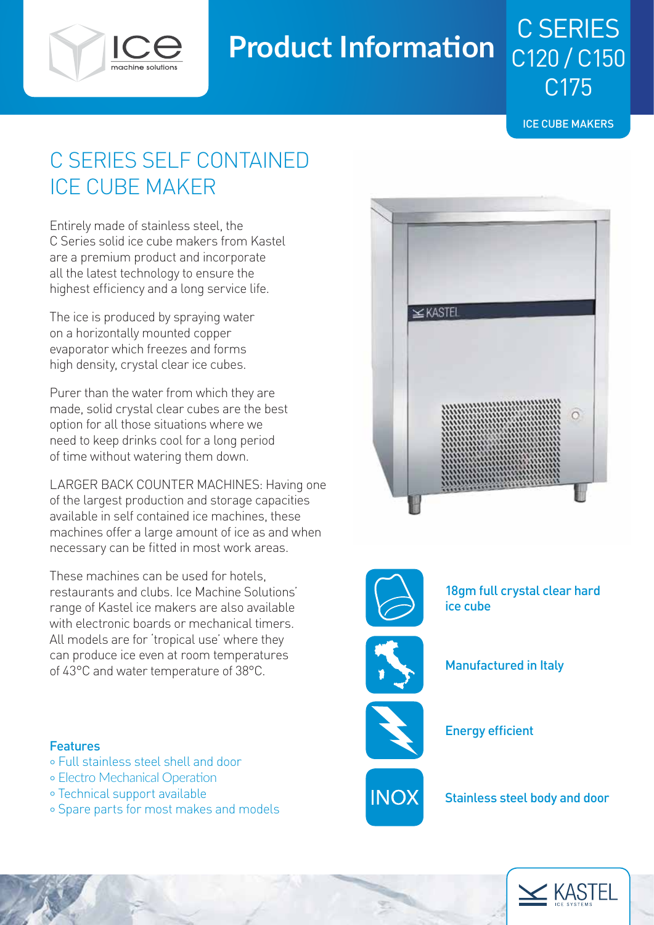

# **Product Information**

ICE CUBE MAKERS

C SERIES

C120 / C150

C175

## C SERIES SELF CONTAINED ICE CUBE MAKER

Entirely made of stainless steel, the C Series solid ice cube makers from Kastel are a premium product and incorporate all the latest technology to ensure the highest efficiency and a long service life.

The ice is produced by spraying water on a horizontally mounted copper evaporator which freezes and forms high density, crystal clear ice cubes.

Purer than the water from which they are made, solid crystal clear cubes are the best option for all those situations where we need to keep drinks cool for a long period of time without watering them down.

LARGER BACK COUNTER MACHINES: Having one of the largest production and storage capacities available in self contained ice machines, these machines offer a large amount of ice as and when necessary can be fitted in most work areas.

These machines can be used for hotels, restaurants and clubs. Ice Machine Solutions' range of Kastel ice makers are also available with electronic boards or mechanical timers. All models are for 'tropical use' where they can produce ice even at room temperatures of 43°C and water temperature of 38°C.



### Features

- ° Full stainless steel shell and door
- ° Electro Mechanical Operation
- ° Technical support available
- ° Spare parts for most makes and models